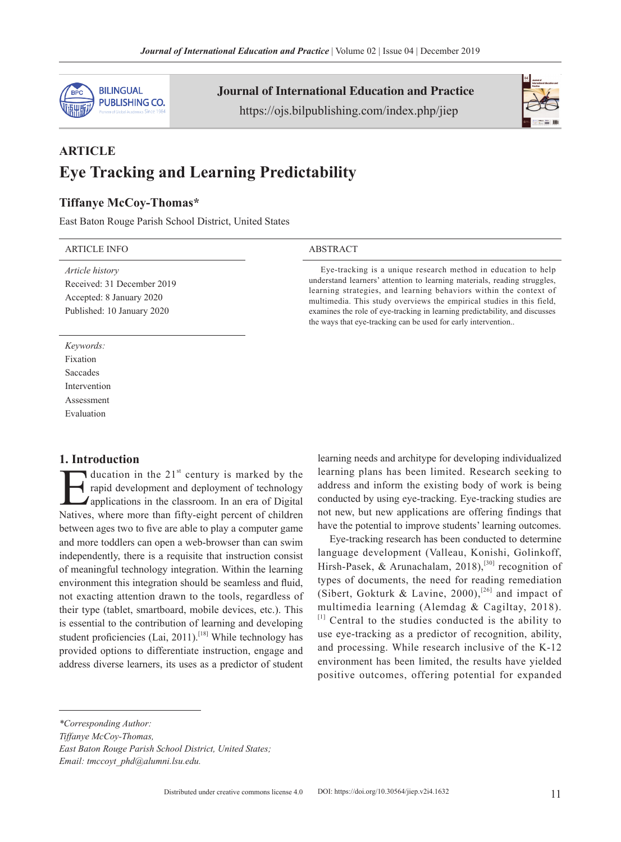

Journal of International Education and Practice https://ojs.bilpublishing.com/index.php/jiep



# **ARTICLE Eye Tracking and Learning Predictability**

## **Tiffanye McCoy-Thomas\***

East Baton Rouge Parish School District, United States

#### ARTICLE INFO ABSTRACT

*Article history* Received: 31 December 2019 Accepted: 8 January 2020 Published: 10 January 2020

Eye-tracking is a unique research method in education to help understand learners' attention to learning materials, reading struggles, learning strategies, and learning behaviors within the context of multimedia. This study overviews the empirical studies in this field, examines the role of eye-tracking in learning predictability, and discusses the ways that eye-tracking can be used for early intervention..

#### Saccades Intervention **Assessment**

*Keywords:* Fixation

Evaluation

#### **1. Introduction**

ducation in the 21<sup>st</sup> century is marked by the<br>rapid development and deployment of technology<br>applications in the classroom. In an era of Digital<br>Natives where more than fifty-eight percent of children rapid development and deployment of technology applications in the classroom. In an era of Digital Natives, where more than fifty-eight percent of children between ages two to five are able to play a computer game and more toddlers can open a web-browser than can swim independently, there is a requisite that instruction consist of meaningful technology integration. Within the learning environment this integration should be seamless and fluid, not exacting attention drawn to the tools, regardless of their type (tablet, smartboard, mobile devices, etc.). This is essential to the contribution of learning and developing student proficiencies (Lai, 2011).<sup>[18]</sup> While technology has provided options to differentiate instruction, engage and address diverse learners, its uses as a predictor of student

learning needs and architype for developing individualized learning plans has been limited. Research seeking to address and inform the existing body of work is being conducted by using eye-tracking. Eye-tracking studies are not new, but new applications are offering findings that have the potential to improve students' learning outcomes.

Eye-tracking research has been conducted to determine language development (Valleau, Konishi, Golinkoff, Hirsh-Pasek, & Arunachalam, 2018),<sup>[30]</sup> recognition of types of documents, the need for reading remediation (Sibert, Gokturk & Lavine, 2000),<sup>[26]</sup> and impact of multimedia learning (Alemdag & Cagiltay, 2018). [1] Central to the studies conducted is the ability to use eye-tracking as a predictor of recognition, ability, and processing. While research inclusive of the K-12 environment has been limited, the results have yielded positive outcomes, offering potential for expanded

*Email: tmccoyt\_phd@alumni.lsu.edu.*

*<sup>\*</sup>Corresponding Author:*

*Tiffanye McCoy-Thomas,*

*East Baton Rouge Parish School District, United States;*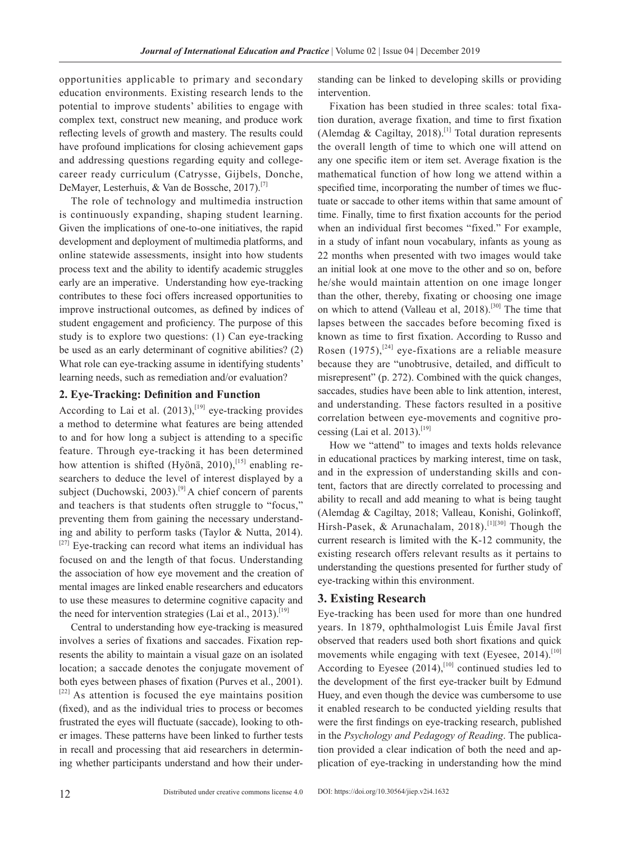opportunities applicable to primary and secondary education environments. Existing research lends to the potential to improve students' abilities to engage with complex text, construct new meaning, and produce work reflecting levels of growth and mastery. The results could have profound implications for closing achievement gaps and addressing questions regarding equity and collegecareer ready curriculum (Catrysse, Gijbels, Donche, DeMayer, Lesterhuis, & Van de Bossche, 2017).[7]

The role of technology and multimedia instruction is continuously expanding, shaping student learning. Given the implications of one-to-one initiatives, the rapid development and deployment of multimedia platforms, and online statewide assessments, insight into how students process text and the ability to identify academic struggles early are an imperative. Understanding how eye-tracking contributes to these foci offers increased opportunities to improve instructional outcomes, as defined by indices of student engagement and proficiency. The purpose of this study is to explore two questions: (1) Can eye-tracking be used as an early determinant of cognitive abilities? (2) What role can eye-tracking assume in identifying students' learning needs, such as remediation and/or evaluation?

#### **2. Eye-Tracking: Definition and Function**

According to Lai et al.  $(2013)$ , [19] eye-tracking provides a method to determine what features are being attended to and for how long a subject is attending to a specific feature. Through eye-tracking it has been determined how attention is shifted (Hyönä,  $2010$ ),<sup>[15]</sup> enabling researchers to deduce the level of interest displayed by a subject (Duchowski, 2003).<sup>[9]</sup> A chief concern of parents and teachers is that students often struggle to "focus," preventing them from gaining the necessary understanding and ability to perform tasks (Taylor & Nutta, 2014).  $[27]$  Eye-tracking can record what items an individual has focused on and the length of that focus. Understanding the association of how eye movement and the creation of mental images are linked enable researchers and educators to use these measures to determine cognitive capacity and the need for intervention strategies (Lai et al., 2013).<sup>[19]</sup>

Central to understanding how eye-tracking is measured involves a series of fixations and saccades. Fixation represents the ability to maintain a visual gaze on an isolated location; a saccade denotes the conjugate movement of both eyes between phases of fixation (Purves et al., 2001).  $[22]$  As attention is focused the eye maintains position (fixed), and as the individual tries to process or becomes frustrated the eyes will fluctuate (saccade), looking to other images. These patterns have been linked to further tests in recall and processing that aid researchers in determining whether participants understand and how their understanding can be linked to developing skills or providing intervention.

Fixation has been studied in three scales: total fixation duration, average fixation, and time to first fixation (Alemdag & Cagiltay, 2018).<sup>[1]</sup> Total duration represents the overall length of time to which one will attend on any one specific item or item set. Average fixation is the mathematical function of how long we attend within a specified time, incorporating the number of times we fluctuate or saccade to other items within that same amount of time. Finally, time to first fixation accounts for the period when an individual first becomes "fixed." For example, in a study of infant noun vocabulary, infants as young as 22 months when presented with two images would take an initial look at one move to the other and so on, before he/she would maintain attention on one image longer than the other, thereby, fixating or choosing one image on which to attend (Valleau et al, 2018).<sup>[30]</sup> The time that lapses between the saccades before becoming fixed is known as time to first fixation. According to Russo and Rosen  $(1975)$ ,<sup>[24]</sup> eye-fixations are a reliable measure because they are "unobtrusive, detailed, and difficult to misrepresent" (p. 272). Combined with the quick changes, saccades, studies have been able to link attention, interest, and understanding. These factors resulted in a positive correlation between eye-movements and cognitive processing (Lai et al. 2013).<sup>[19]</sup>

How we "attend" to images and texts holds relevance in educational practices by marking interest, time on task, and in the expression of understanding skills and content, factors that are directly correlated to processing and ability to recall and add meaning to what is being taught (Alemdag & Cagiltay, 2018; Valleau, Konishi, Golinkoff, Hirsh-Pasek, & Arunachalam, 2018).<sup>[1][30]</sup> Though the current research is limited with the K-12 community, the existing research offers relevant results as it pertains to understanding the questions presented for further study of eye-tracking within this environment.

## **3. Existing Research**

Eye-tracking has been used for more than one hundred years. In 1879, ophthalmologist Luis Émile Javal first observed that readers used both short fixations and quick movements while engaging with text (Eyesee,  $2014$ ).<sup>[10]</sup> According to Eyesee  $(2014)$ ,<sup>[10]</sup> continued studies led to the development of the first eye-tracker built by Edmund Huey, and even though the device was cumbersome to use it enabled research to be conducted yielding results that were the first findings on eye-tracking research, published in the *Psychology and Pedagogy of Reading*. The publication provided a clear indication of both the need and application of eye-tracking in understanding how the mind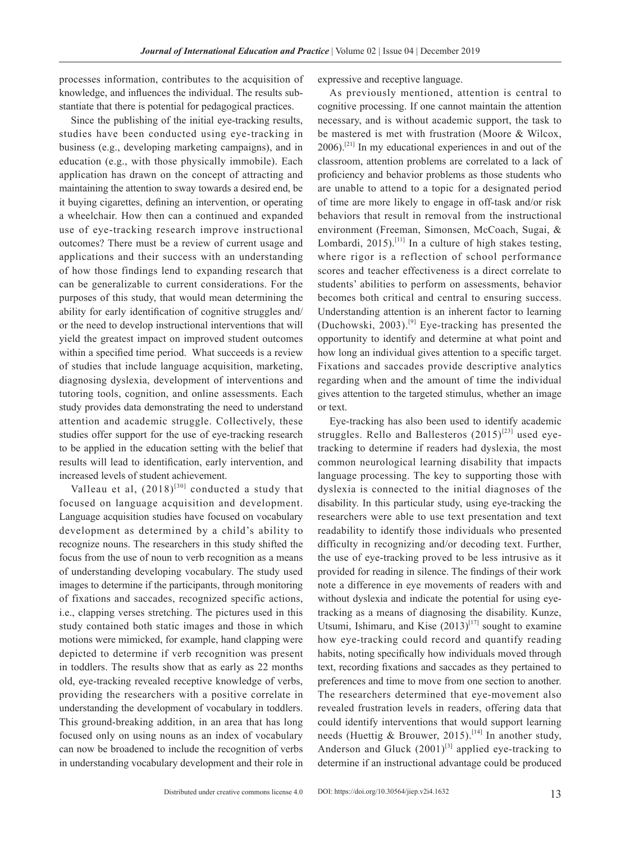processes information, contributes to the acquisition of knowledge, and influences the individual. The results substantiate that there is potential for pedagogical practices.

Since the publishing of the initial eye-tracking results, studies have been conducted using eye-tracking in business (e.g., developing marketing campaigns), and in education (e.g., with those physically immobile). Each application has drawn on the concept of attracting and maintaining the attention to sway towards a desired end, be it buying cigarettes, defining an intervention, or operating a wheelchair. How then can a continued and expanded use of eye-tracking research improve instructional outcomes? There must be a review of current usage and applications and their success with an understanding of how those findings lend to expanding research that can be generalizable to current considerations. For the purposes of this study, that would mean determining the ability for early identification of cognitive struggles and/ or the need to develop instructional interventions that will yield the greatest impact on improved student outcomes within a specified time period. What succeeds is a review of studies that include language acquisition, marketing, diagnosing dyslexia, development of interventions and tutoring tools, cognition, and online assessments. Each study provides data demonstrating the need to understand attention and academic struggle. Collectively, these studies offer support for the use of eye-tracking research to be applied in the education setting with the belief that results will lead to identification, early intervention, and increased levels of student achievement.

Valleau et al,  $(2018)^{[30]}$  conducted a study that focused on language acquisition and development. Language acquisition studies have focused on vocabulary development as determined by a child's ability to recognize nouns. The researchers in this study shifted the focus from the use of noun to verb recognition as a means of understanding developing vocabulary. The study used images to determine if the participants, through monitoring of fixations and saccades, recognized specific actions, i.e., clapping verses stretching. The pictures used in this study contained both static images and those in which motions were mimicked, for example, hand clapping were depicted to determine if verb recognition was present in toddlers. The results show that as early as 22 months old, eye-tracking revealed receptive knowledge of verbs, providing the researchers with a positive correlate in understanding the development of vocabulary in toddlers. This ground-breaking addition, in an area that has long focused only on using nouns as an index of vocabulary can now be broadened to include the recognition of verbs in understanding vocabulary development and their role in expressive and receptive language.

As previously mentioned, attention is central to cognitive processing. If one cannot maintain the attention necessary, and is without academic support, the task to be mastered is met with frustration (Moore & Wilcox,  $2006$ .<sup>[21]</sup> In my educational experiences in and out of the classroom, attention problems are correlated to a lack of proficiency and behavior problems as those students who are unable to attend to a topic for a designated period of time are more likely to engage in off-task and/or risk behaviors that result in removal from the instructional environment (Freeman, Simonsen, McCoach, Sugai, & Lombardi, 2015).<sup>[11]</sup> In a culture of high stakes testing, where rigor is a reflection of school performance scores and teacher effectiveness is a direct correlate to students' abilities to perform on assessments, behavior becomes both critical and central to ensuring success. Understanding attention is an inherent factor to learning (Duchowski, 2003).<sup>[9]</sup> Eye-tracking has presented the opportunity to identify and determine at what point and how long an individual gives attention to a specific target. Fixations and saccades provide descriptive analytics regarding when and the amount of time the individual gives attention to the targeted stimulus, whether an image or text.

Eye-tracking has also been used to identify academic struggles. Rello and Ballesteros  $(2015)^{[23]}$  used eyetracking to determine if readers had dyslexia, the most common neurological learning disability that impacts language processing. The key to supporting those with dyslexia is connected to the initial diagnoses of the disability. In this particular study, using eye-tracking the researchers were able to use text presentation and text readability to identify those individuals who presented difficulty in recognizing and/or decoding text. Further, the use of eye-tracking proved to be less intrusive as it provided for reading in silence. The findings of their work note a difference in eye movements of readers with and without dyslexia and indicate the potential for using eyetracking as a means of diagnosing the disability. Kunze, Utsumi, Ishimaru, and Kise  $(2013)^{[17]}$  sought to examine how eye-tracking could record and quantify reading habits, noting specifically how individuals moved through text, recording fixations and saccades as they pertained to preferences and time to move from one section to another. The researchers determined that eye-movement also revealed frustration levels in readers, offering data that could identify interventions that would support learning needs (Huettig & Brouwer, 2015).<sup>[14]</sup> In another study, Anderson and Gluck  $(2001)^{[3]}$  applied eye-tracking to determine if an instructional advantage could be produced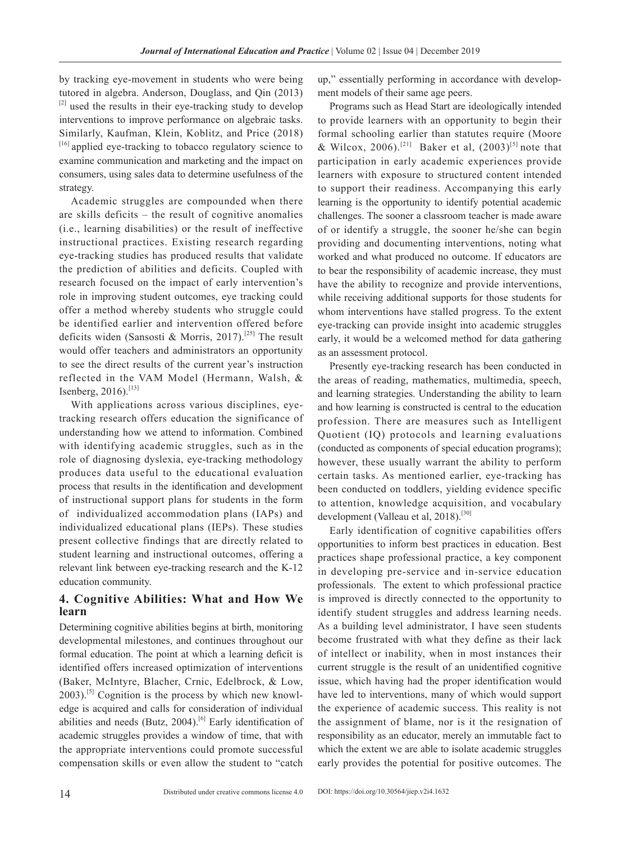by tracking eye-movement in students who were being tutored in algebra. Anderson, Douglass, and Qin (2013) <sup>[2]</sup> used the results in their eye-tracking study to develop interventions to improve performance on algebraic tasks. Similarly, Kaufman, Klein, Koblitz, and Price (2018) [16] applied eye-tracking to tobacco regulatory science to examine communication and marketing and the impact on consumers, using sales data to determine usefulness of the strategy.

Academic struggles are compounded when there are skills deficits – the result of cognitive anomalies (i.e., learning disabilities) or the result of ineffective instructional practices. Existing research regarding eye-tracking studies has produced results that validate the prediction of abilities and deficits. Coupled with research focused on the impact of early intervention's role in improving student outcomes, eye tracking could offer a method whereby students who struggle could be identified earlier and intervention offered before deficits widen (Sansosti & Morris, 2017).<sup>[25]</sup> The result would offer teachers and administrators an opportunity to see the direct results of the current year's instruction reflected in the VAM Model (Hermann, Walsh, & Isenberg,  $2016$ .<sup>[13]</sup>

With applications across various disciplines, eyetracking research offers education the significance of understanding how we attend to information. Combined with identifying academic struggles, such as in the role of diagnosing dyslexia, eye-tracking methodology produces data useful to the educational evaluation process that results in the identification and development of instructional support plans for students in the form of individualized accommodation plans (IAPs) and individualized educational plans (IEPs). These studies present collective findings that are directly related to student learning and instructional outcomes, offering a relevant link between eye-tracking research and the K-12 education community.

# **4. Cognitive Abilities: What and How We learn**

Determining cognitive abilities begins at birth, monitoring developmental milestones, and continues throughout our formal education. The point at which a learning deficit is identified offers increased optimization of interventions (Baker, McIntyre, Blacher, Crnic, Edelbrock, & Low,  $2003$ .<sup>[5]</sup> Cognition is the process by which new knowledge is acquired and calls for consideration of individual abilities and needs (Butz,  $2004$ ).<sup>[6]</sup> Early identification of academic struggles provides a window of time, that with the appropriate interventions could promote successful compensation skills or even allow the student to "catch up," essentially performing in accordance with development models of their same age peers.

Programs such as Head Start are ideologically intended to provide learners with an opportunity to begin their formal schooling earlier than statutes require (Moore & Wilcox, 2006).<sup>[21]</sup> Baker et al,  $(2003)^{5}$  note that participation in early academic experiences provide learners with exposure to structured content intended to support their readiness. Accompanying this early learning is the opportunity to identify potential academic challenges. The sooner a classroom teacher is made aware of or identify a struggle, the sooner he/she can begin providing and documenting interventions, noting what worked and what produced no outcome. If educators are to bear the responsibility of academic increase, they must have the ability to recognize and provide interventions, while receiving additional supports for those students for whom interventions have stalled progress. To the extent eye-tracking can provide insight into academic struggles early, it would be a welcomed method for data gathering as an assessment protocol.

Presently eye-tracking research has been conducted in the areas of reading, mathematics, multimedia, speech, and learning strategies. Understanding the ability to learn and how learning is constructed is central to the education profession. There are measures such as Intelligent Quotient (IQ) protocols and learning evaluations (conducted as components of special education programs); however, these usually warrant the ability to perform certain tasks. As mentioned earlier, eye-tracking has been conducted on toddlers, yielding evidence specific to attention, knowledge acquisition, and vocabulary development (Valleau et al, 2018).<sup>[30]</sup>

Early identification of cognitive capabilities offers opportunities to inform best practices in education. Best practices shape professional practice, a key component in developing pre-service and in-service education professionals. The extent to which professional practice is improved is directly connected to the opportunity to identify student struggles and address learning needs. As a building level administrator, I have seen students become frustrated with what they define as their lack of intellect or inability, when in most instances their current struggle is the result of an unidentified cognitive issue, which having had the proper identification would have led to interventions, many of which would support the experience of academic success. This reality is not the assignment of blame, nor is it the resignation of responsibility as an educator, merely an immutable fact to which the extent we are able to isolate academic struggles early provides the potential for positive outcomes. The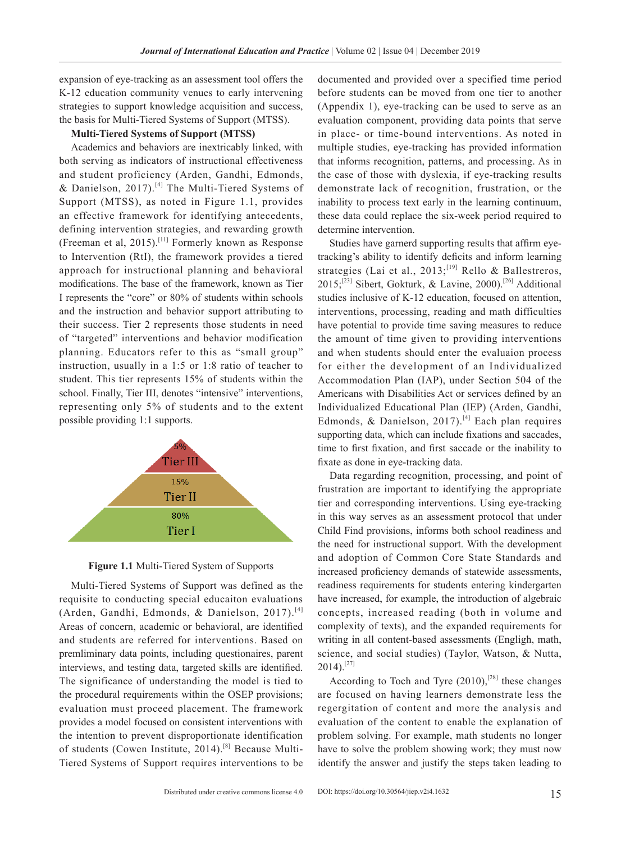expansion of eye-tracking as an assessment tool offers the K-12 education community venues to early intervening strategies to support knowledge acquisition and success, the basis for Multi-Tiered Systems of Support (MTSS).

#### **Multi-Tiered Systems of Support (MTSS)**

Academics and behaviors are inextricably linked, with both serving as indicators of instructional effectiveness and student proficiency (Arden, Gandhi, Edmonds, & Danielson, 2017).<sup>[4]</sup> The Multi-Tiered Systems of Support (MTSS), as noted in Figure 1.1, provides an effective framework for identifying antecedents, defining intervention strategies, and rewarding growth (Freeman et al, 2015).<sup>[11]</sup> Formerly known as Response to Intervention (RtI), the framework provides a tiered approach for instructional planning and behavioral modifications. The base of the framework, known as Tier I represents the "core" or 80% of students within schools and the instruction and behavior support attributing to their success. Tier 2 represents those students in need of "targeted" interventions and behavior modification planning. Educators refer to this as "small group" instruction, usually in a 1:5 or 1:8 ratio of teacher to student. This tier represents 15% of students within the school. Finally, Tier III, denotes "intensive" interventions, representing only 5% of students and to the extent possible providing 1:1 supports.



**Figure 1.1** Multi-Tiered System of Supports

Multi-Tiered Systems of Support was defined as the requisite to conducting special educaiton evaluations (Arden, Gandhi, Edmonds, & Danielson, 2017).[4] Areas of concern, academic or behavioral, are identified and students are referred for interventions. Based on premliminary data points, including questionaires, parent interviews, and testing data, targeted skills are identified. The significance of understanding the model is tied to the procedural requirements within the OSEP provisions; evaluation must proceed placement. The framework provides a model focused on consistent interventions with the intention to prevent disproportionate identification of students (Cowen Institute, 2014).<sup>[8]</sup> Because Multi-Tiered Systems of Support requires interventions to be documented and provided over a specified time period before students can be moved from one tier to another (Appendix 1), eye-tracking can be used to serve as an evaluation component, providing data points that serve in place- or time-bound interventions. As noted in multiple studies, eye-tracking has provided information that informs recognition, patterns, and processing. As in the case of those with dyslexia, if eye-tracking results demonstrate lack of recognition, frustration, or the inability to process text early in the learning continuum, these data could replace the six-week period required to determine intervention.

Studies have garnerd supporting results that affirm eyetracking's ability to identify deficits and inform learning strategies (Lai et al., 2013;<sup>[19]</sup> Rello & Ballestreros, 2015;[23] Sibert, Gokturk, & Lavine, 2000).[26] Additional studies inclusive of K-12 education, focused on attention, interventions, processing, reading and math difficulties have potential to provide time saving measures to reduce the amount of time given to providing interventions and when students should enter the evaluaion process for either the development of an Individualized Accommodation Plan (IAP), under Section 504 of the Americans with Disabilities Act or services defined by an Individualized Educational Plan (IEP) (Arden, Gandhi, Edmonds, & Danielson, 2017).[4] Each plan requires supporting data, which can include fixations and saccades, time to first fixation, and first saccade or the inability to fixate as done in eye-tracking data.

Data regarding recognition, processing, and point of frustration are important to identifying the appropriate tier and corresponding interventions. Using eye-tracking in this way serves as an assessment protocol that under Child Find provisions, informs both school readiness and the need for instructional support. With the development and adoption of Common Core State Standards and increased proficiency demands of statewide assessments, readiness requirements for students entering kindergarten have increased, for example, the introduction of algebraic concepts, increased reading (both in volume and complexity of texts), and the expanded requirements for writing in all content-based assessments (Engligh, math, science, and social studies) (Taylor, Watson, & Nutta,  $2014$ ).<sup>[27]</sup>

According to Toch and Tyre  $(2010)$ ,<sup>[28]</sup> these changes are focused on having learners demonstrate less the regergitation of content and more the analysis and evaluation of the content to enable the explanation of problem solving. For example, math students no longer have to solve the problem showing work; they must now identify the answer and justify the steps taken leading to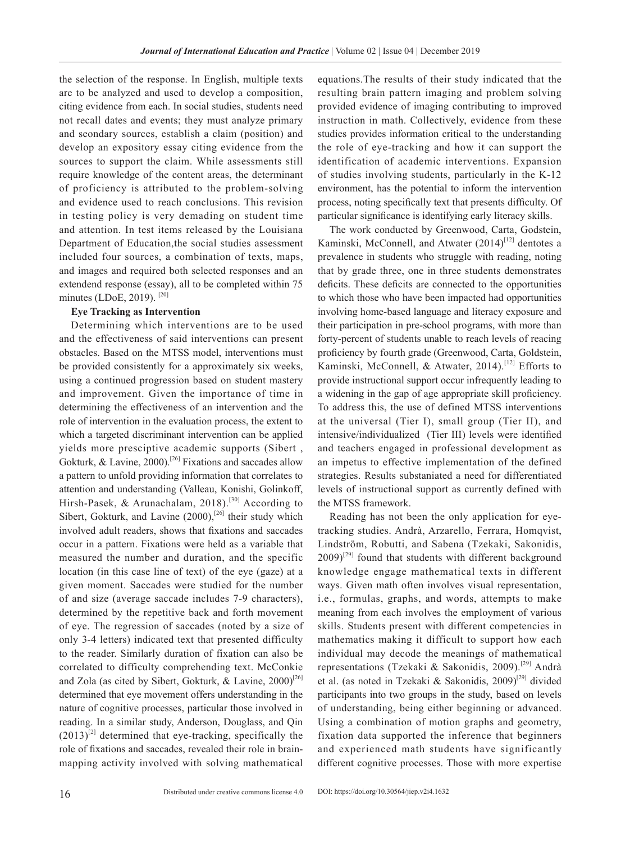the selection of the response. In English, multiple texts are to be analyzed and used to develop a composition, citing evidence from each. In social studies, students need not recall dates and events; they must analyze primary and seondary sources, establish a claim (position) and develop an expository essay citing evidence from the sources to support the claim. While assessments still require knowledge of the content areas, the determinant of proficiency is attributed to the problem-solving and evidence used to reach conclusions. This revision in testing policy is very demading on student time and attention. In test items released by the Louisiana Department of Education,the social studies assessment included four sources, a combination of texts, maps, and images and required both selected responses and an extendend response (essay), all to be completed within 75 minutes (LDoE, 2019).<sup>[20]</sup>

#### **Eye Tracking as Intervention**

Determining which interventions are to be used and the effectiveness of said interventions can present obstacles. Based on the MTSS model, interventions must be provided consistently for a approximately six weeks, using a continued progression based on student mastery and improvement. Given the importance of time in determining the effectiveness of an intervention and the role of intervention in the evaluation process, the extent to which a targeted discriminant intervention can be applied yields more presciptive academic supports (Sibert , Gokturk, & Lavine, 2000).<sup>[26]</sup> Fixations and saccades allow a pattern to unfold providing information that correlates to attention and understanding (Valleau, Konishi, Golinkoff, Hirsh-Pasek, & Arunachalam, 2018).<sup>[30]</sup> According to Sibert, Gokturk, and Lavine  $(2000)$ ,<sup>[26]</sup> their study which involved adult readers, shows that fixations and saccades occur in a pattern. Fixations were held as a variable that measured the number and duration, and the specific location (in this case line of text) of the eye (gaze) at a given moment. Saccades were studied for the number of and size (average saccade includes 7-9 characters), determined by the repetitive back and forth movement of eye. The regression of saccades (noted by a size of only 3-4 letters) indicated text that presented difficulty to the reader. Similarly duration of fixation can also be correlated to difficulty comprehending text. McConkie and Zola (as cited by Sibert, Gokturk, & Lavine,  $2000$ <sup>[26]</sup> determined that eye movement offers understanding in the nature of cognitive processes, particular those involved in reading. In a similar study, Anderson, Douglass, and Qin  $(2013)^{2}$  determined that eye-tracking, specifically the role of fixations and saccades, revealed their role in brainmapping activity involved with solving mathematical equations.The results of their study indicated that the resulting brain pattern imaging and problem solving provided evidence of imaging contributing to improved instruction in math. Collectively, evidence from these studies provides information critical to the understanding the role of eye-tracking and how it can support the identification of academic interventions. Expansion of studies involving students, particularly in the K-12 environment, has the potential to inform the intervention process, noting specifically text that presents difficulty. Of particular significance is identifying early literacy skills.

The work conducted by Greenwood, Carta, Godstein, Kaminski, McConnell, and Atwater (2014)<sup>[12]</sup> dentotes a prevalence in students who struggle with reading, noting that by grade three, one in three students demonstrates deficits. These deficits are connected to the opportunities to which those who have been impacted had opportunities involving home-based language and literacy exposure and their participation in pre-school programs, with more than forty-percent of students unable to reach levels of reacing proficiency by fourth grade (Greenwood, Carta, Goldstein, Kaminski, McConnell, & Atwater, 2014).<sup>[12]</sup> Efforts to provide instructional support occur infrequently leading to a widening in the gap of age appropriate skill proficiency. To address this, the use of defined MTSS interventions at the universal (Tier I), small group (Tier II), and intensive/individualized (Tier III) levels were identified and teachers engaged in professional development as an impetus to effective implementation of the defined strategies. Results substaniated a need for differentiated levels of instructional support as currently defined with the MTSS framework.

Reading has not been the only application for eyetracking studies. Andrà, Arzarello, Ferrara, Homqvist, Lindström, Robutti, and Sabena (Tzekaki, Sakonidis,  $2009$ <sup>[29]</sup> found that students with different background knowledge engage mathematical texts in different ways. Given math often involves visual representation, i.e., formulas, graphs, and words, attempts to make meaning from each involves the employment of various skills. Students present with different competencies in mathematics making it difficult to support how each individual may decode the meanings of mathematical representations (Tzekaki & Sakonidis, 2009).<sup>[29]</sup> Andrà et al. (as noted in Tzekaki & Sakonidis, 2009)<sup>[29]</sup> divided participants into two groups in the study, based on levels of understanding, being either beginning or advanced. Using a combination of motion graphs and geometry, fixation data supported the inference that beginners and experienced math students have significantly different cognitive processes. Those with more expertise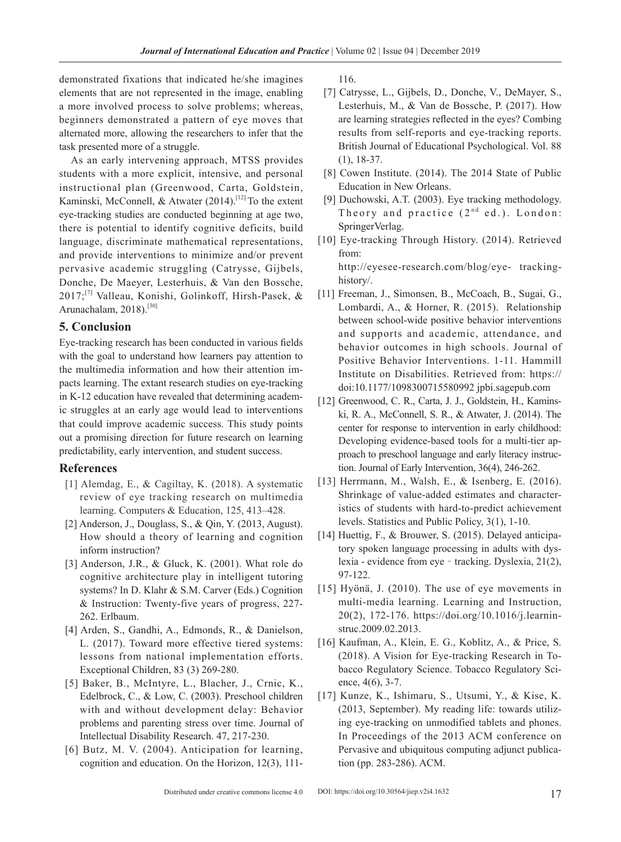demonstrated fixations that indicated he/she imagines elements that are not represented in the image, enabling a more involved process to solve problems; whereas, beginners demonstrated a pattern of eye moves that alternated more, allowing the researchers to infer that the task presented more of a struggle.

As an early intervening approach, MTSS provides students with a more explicit, intensive, and personal instructional plan (Greenwood, Carta, Goldstein, Kaminski, McConnell, & Atwater  $(2014)$ .<sup>[12]</sup> To the extent eye-tracking studies are conducted beginning at age two, there is potential to identify cognitive deficits, build language, discriminate mathematical representations, and provide interventions to minimize and/or prevent pervasive academic struggling (Catrysse, Gijbels, Donche, De Maeyer, Lesterhuis, & Van den Bossche, 2017;[7] Valleau, Konishi, Golinkoff, Hirsh-Pasek, & Arunachalam, 2018).<sup>[30]</sup>

# **5. Conclusion**

Eye-tracking research has been conducted in various fields with the goal to understand how learners pay attention to the multimedia information and how their attention impacts learning. The extant research studies on eye-tracking in K-12 education have revealed that determining academic struggles at an early age would lead to interventions that could improve academic success. This study points out a promising direction for future research on learning predictability, early intervention, and student success.

# **References**

- [1] Alemdag, E., & Cagiltay, K. (2018). A systematic review of eye tracking research on multimedia learning. Computers & Education, 125, 413–428.
- [2] Anderson, J., Douglass, S., & Qin, Y. (2013, August). How should a theory of learning and cognition inform instruction?
- [3] Anderson, J.R., & Gluck, K. (2001). What role do cognitive architecture play in intelligent tutoring systems? In D. Klahr & S.M. Carver (Eds.) Cognition & Instruction: Twenty-five years of progress, 227- 262. Erlbaum.
- [4] Arden, S., Gandhi, A., Edmonds, R., & Danielson, L. (2017). Toward more effective tiered systems: lessons from national implementation efforts. Exceptional Children, 83 (3) 269-280.
- [5] Baker, B., McIntyre, L., Blacher, J., Crnic, K., Edelbrock, C., & Low, C. (2003). Preschool children with and without development delay: Behavior problems and parenting stress over time. Journal of Intellectual Disability Research. 47, 217-230.
- [6] Butz, M. V. (2004). Anticipation for learning, cognition and education. On the Horizon, 12(3), 111-

116.

- [7] Catrysse, L., Gijbels, D., Donche, V., DeMayer, S., Lesterhuis, M., & Van de Bossche, P. (2017). How are learning strategies reflected in the eyes? Combing results from self-reports and eye-tracking reports. British Journal of Educational Psychological. Vol. 88 (1), 18-37.
- [8] Cowen Institute. (2014). The 2014 State of Public Education in New Orleans.
- [9] Duchowski, A.T. (2003). Eye tracking methodology. Theory and practice  $(2^{nd}$  ed.). London: SpringerVerlag.
- [10] Eye-tracking Through History. (2014). Retrieved from: http://eyesee-research.com/blog/eye- trackinghistory/.
- [11] Freeman, J., Simonsen, B., McCoach, B., Sugai, G., Lombardi, A., & Horner, R. (2015). Relationship between school-wide positive behavior interventions and supports and academic, attendance, and behavior outcomes in high schools. Journal of Positive Behavior Interventions. 1-11. Hammill Institute on Disabilities. Retrieved from: https:// doi:10.1177/1098300715580992 jpbi.sagepub.com
- [12] Greenwood, C. R., Carta, J. J., Goldstein, H., Kaminski, R. A., McConnell, S. R., & Atwater, J. (2014). The center for response to intervention in early childhood: Developing evidence-based tools for a multi-tier approach to preschool language and early literacy instruction. Journal of Early Intervention, 36(4), 246-262.
- [13] Herrmann, M., Walsh, E., & Isenberg, E. (2016). Shrinkage of value-added estimates and characteristics of students with hard-to-predict achievement levels. Statistics and Public Policy, 3(1), 1-10.
- [14] Huettig, F., & Brouwer, S. (2015). Delayed anticipatory spoken language processing in adults with dyslexia - evidence from eye - tracking. Dyslexia, 21(2), 97-122.
- [15] Hyönä, J. (2010). The use of eye movements in multi-media learning. Learning and Instruction, 20(2), 172-176. https://doi.org/10.1016/j.learninstruc.2009.02.2013.
- [16] Kaufman, A., Klein, E. G., Koblitz, A., & Price, S. (2018). A Vision for Eye-tracking Research in Tobacco Regulatory Science. Tobacco Regulatory Science, 4(6), 3-7.
- [17] Kunze, K., Ishimaru, S., Utsumi, Y., & Kise, K. (2013, September). My reading life: towards utilizing eye-tracking on unmodified tablets and phones. In Proceedings of the 2013 ACM conference on Pervasive and ubiquitous computing adjunct publication (pp. 283-286). ACM.